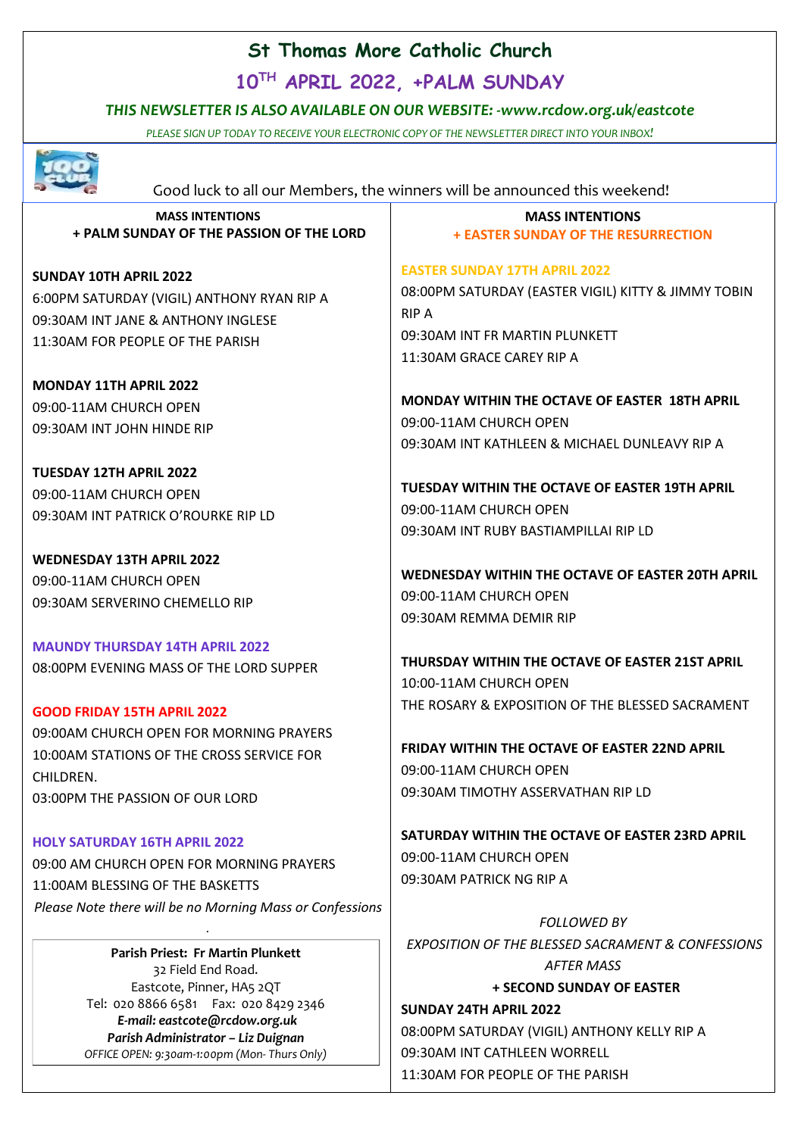# **St Thomas More Catholic Church**

**10 TH APRIL 2022, +PALM SUNDAY**

## *THIS NEWSLETTER IS ALSO AVAILABLE ON OUR WEBSITE: -www.rcdow.org.uk/eastcote*

*PLEASE SIGN UP TODAY TO RECEIVE YOUR ELECTRONIC COPY OF THE NEWSLETTER DIRECT INTO YOUR INBOX!*



Good luck to all our Members, the winners will be announced this weekend!

**MASS INTENTIONS + PALM SUNDAY OF THE PASSION OF THE LORD**

**SUNDAY 10TH APRIL 2022** 6:00PM SATURDAY (VIGIL) ANTHONY RYAN RIP A 09:30AM INT JANE & ANTHONY INGLESE 11:30AM FOR PEOPLE OF THE PARISH

**MONDAY 11TH APRIL 2022** 09:00-11AM CHURCH OPEN 09:30AM INT JOHN HINDE RIP

**TUESDAY 12TH APRIL 2022** 09:00-11AM CHURCH OPEN 09:30AM INT PATRICK O'ROURKE RIP LD

**WEDNESDAY 13TH APRIL 2022** 09:00-11AM CHURCH OPEN 09:30AM SERVERINO CHEMELLO RIP

**MAUNDY THURSDAY 14TH APRIL 2022** 08:00PM EVENING MASS OF THE LORD SUPPER

## **GOOD FRIDAY 15TH APRIL 2022**

09:00AM CHURCH OPEN FOR MORNING PRAYERS 10:00AM STATIONS OF THE CROSS SERVICE FOR CHILDREN. 03:00PM THE PASSION OF OUR LORD

#### **HOLY SATURDAY 16TH APRIL 2022**

09:00 AM CHURCH OPEN FOR MORNING PRAYERS 11:00AM BLESSING OF THE BASKETTS *Please Note there will be no Morning Mass or Confessions*

*.*

**Parish Priest: Fr Martin Plunkett**  32 Field End Road. Eastcote, Pinner, HA5 2QT Tel: 020 8866 6581 Fax: 020 8429 2346 *E-mail: eastcote@rcdow.org.uk Parish Administrator – Liz Duignan OFFICE OPEN: 9:30am-1:00pm (Mon- Thurs Only)*

#### **MASS INTENTIONS + EASTER SUNDAY OF THE RESURRECTION**

**EASTER SUNDAY 17TH APRIL 2022** 08:00PM SATURDAY (EASTER VIGIL) KITTY & JIMMY TOBIN RIP A 09:30AM INT FR MARTIN PLUNKETT 11:30AM GRACE CAREY RIP A

**MONDAY WITHIN THE OCTAVE OF EASTER 18TH APRIL**  09:00-11AM CHURCH OPEN 09:30AM INT KATHLEEN & MICHAEL DUNLEAVY RIP A

**TUESDAY WITHIN THE OCTAVE OF EASTER 19TH APRIL**  09:00-11AM CHURCH OPEN 09:30AM INT RUBY BASTIAMPILLAI RIP LD

**WEDNESDAY WITHIN THE OCTAVE OF EASTER 20TH APRIL**  09:00-11AM CHURCH OPEN 09:30AM REMMA DEMIR RIP

**THURSDAY WITHIN THE OCTAVE OF EASTER 21ST APRIL**  10:00-11AM CHURCH OPEN THE ROSARY & EXPOSITION OF THE BLESSED SACRAMENT

**FRIDAY WITHIN THE OCTAVE OF EASTER 22ND APRIL** 09:00-11AM CHURCH OPEN 09:30AM TIMOTHY ASSERVATHAN RIP LD

**SATURDAY WITHIN THE OCTAVE OF EASTER 23RD APRIL**  09:00-11AM CHURCH OPEN 09:30AM PATRICK NG RIP A

*FOLLOWED BY EXPOSITION OF THE BLESSED SACRAMENT & CONFESSIONS AFTER MASS*

**+ SECOND SUNDAY OF EASTER**

**SUNDAY 24TH APRIL 2022** 08:00PM SATURDAY (VIGIL) ANTHONY KELLY RIP A 09:30AM INT CATHLEEN WORRELL 11:30AM FOR PEOPLE OF THE PARISH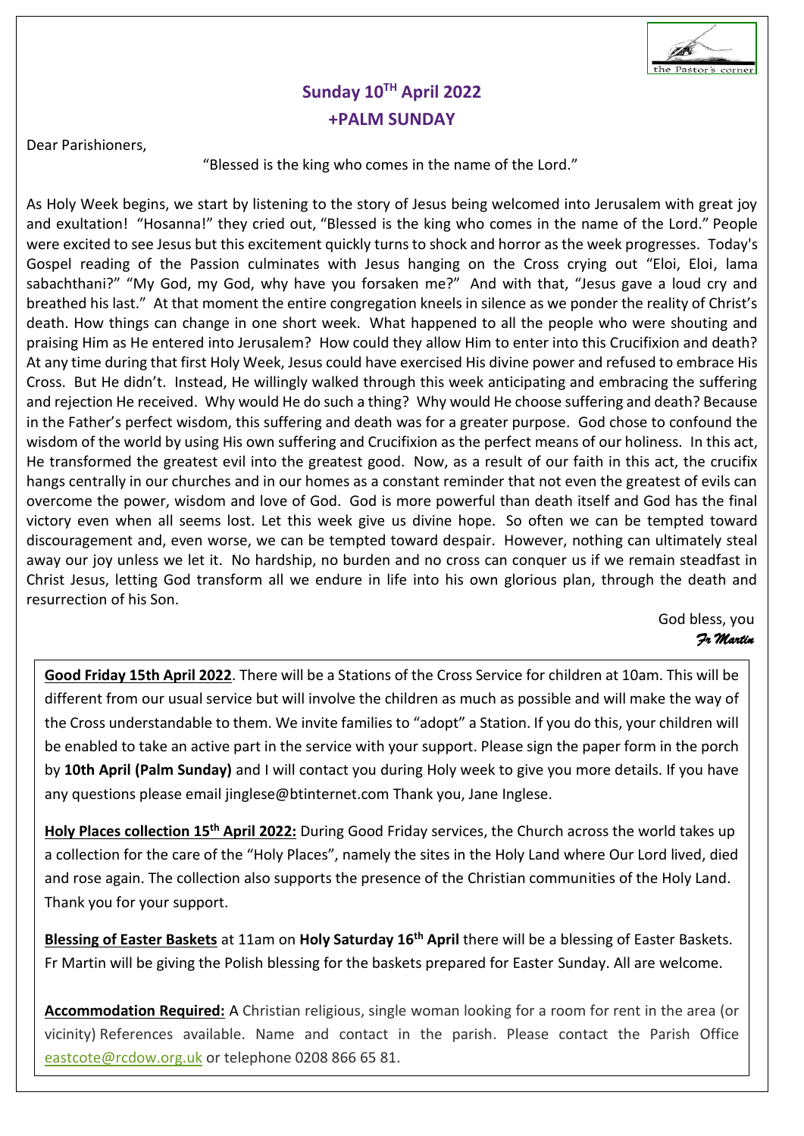

# **Sunday 10 TH April 2022 +PALM SUNDAY**

Dear Parishioners,

#### "Blessed is the king who comes in the name of the Lord."

As Holy Week begins, we start by listening to the story of Jesus being welcomed into Jerusalem with great joy and exultation! "Hosanna!" they cried out, "Blessed is the king who comes in the name of the Lord." People were excited to see Jesus but this excitement quickly turns to shock and horror as the week progresses. Today's Gospel reading of the Passion culminates with Jesus hanging on the Cross crying out "Eloi, Eloi, lama sabachthani?" "My God, my God, why have you forsaken me?" And with that, "Jesus gave a loud cry and breathed his last." At that moment the entire congregation kneels in silence as we ponder the reality of Christ's death. How things can change in one short week. What happened to all the people who were shouting and praising Him as He entered into Jerusalem? How could they allow Him to enter into this Crucifixion and death? At any time during that first Holy Week, Jesus could have exercised His divine power and refused to embrace His Cross. But He didn't. Instead, He willingly walked through this week anticipating and embracing the suffering and rejection He received. Why would He do such a thing? Why would He choose suffering and death? Because in the Father's perfect wisdom, this suffering and death was for a greater purpose. God chose to confound the wisdom of the world by using His own suffering and Crucifixion as the perfect means of our holiness. In this act, He transformed the greatest evil into the greatest good. Now, as a result of our faith in this act, the crucifix hangs centrally in our churches and in our homes as a constant reminder that not even the greatest of evils can overcome the power, wisdom and love of God. God is more powerful than death itself and God has the final victory even when all seems lost. Let this week give us divine hope. So often we can be tempted toward discouragement and, even worse, we can be tempted toward despair. However, nothing can ultimately steal away our joy unless we let it. No hardship, no burden and no cross can conquer us if we remain steadfast in Christ Jesus, letting God transform all we endure in life into his own glorious plan, through the death and resurrection of his Son.

#### God bless, you  *Fr Martin*

**Good Friday 15th April 2022**. There will be a Stations of the Cross Service for children at 10am. This will be different from our usual service but will involve the children as much as possible and will make the way of the Cross understandable to them. We invite families to "adopt" a Station. If you do this, your children will be enabled to take an active part in the service with your support. Please sign the paper form in the porch by **10th April (Palm Sunday)** and I will contact you during Holy week to give you more details. If you have any questions please email jinglese@btinternet.com Thank you, Jane Inglese.

**Holy Places collection 15th April 2022:** During Good Friday services, the Church across the world takes up a collection for the care of the "Holy Places", namely the sites in the Holy Land where Our Lord lived, died and rose again. The collection also supports the presence of the Christian communities of the Holy Land. Thank you for your support.

**Blessing of Easter Baskets** at 11am on **Holy Saturday 16th April** there will be a blessing of Easter Baskets. Fr Martin will be giving the Polish blessing for the baskets prepared for Easter Sunday. All are welcome.

**Accommodation Required:** A Christian religious, single woman looking for a room for rent in the area (or vicinity) References available. Name and contact in the parish. Please contact the Parish Office [eastcote@rcdow.org.uk](mailto:eastcote@rcdow.org.uk) or telephone 0208 866 65 81.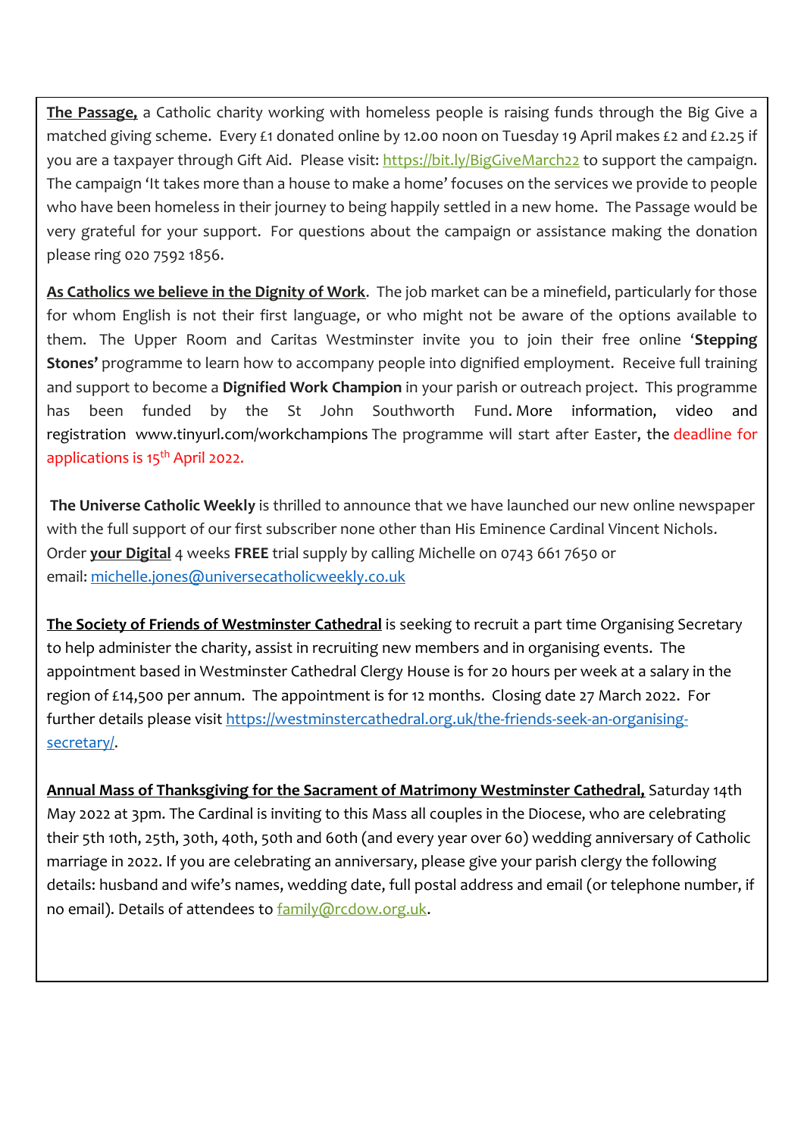**The Passage,** a Catholic charity working with homeless people is raising funds through the Big Give a matched giving scheme. Every £1 donated online by 12.00 noon on Tuesday 19 April makes £2 and £2.25 if you are a taxpayer through Gift Aid. Please visit: <https://bit.ly/BigGiveMarch22> to support the campaign. The campaign 'It takes more than a house to make a home' focuses on the services we provide to people who have been homeless in their journey to being happily settled in a new home. The Passage would be very grateful for your support. For questions about the campaign or assistance making the donation please ring 020 7592 1856.

**As Catholics we believe in the Dignity of Work**. The job market can be a minefield, particularly for those for whom English is not their first language, or who might not be aware of the options available to them. The Upper Room and Caritas Westminster invite you to join their free online '**Stepping Stones'** programme to learn how to accompany people into dignified employment. Receive full training and support to become a **Dignified Work Champion** in your parish or outreach project. This programme has been funded by the St John Southworth Fund. More information, video and registration www.tinyurl.com/workchampions The programme will start after Easter, the deadline for applications is 15<sup>th</sup> April 2022.

**The Universe Catholic Weekly** is thrilled to announce that we have launched our new online newspaper with the full support of our first subscriber none other than His Eminence Cardinal Vincent Nichols. Order **your Digital** 4 weeks **FREE** trial supply by calling Michelle on 0743 661 7650 or email: [michelle.jones@universecatholicweekly.co.uk](mailto:michelle.jones@universecatholicweekly.co.uk)

**The Society of Friends of Westminster Cathedral** is seeking to recruit a part time Organising Secretary to help administer the charity, assist in recruiting new members and in organising events. The appointment based in Westminster Cathedral Clergy House is for 20 hours per week at a salary in the region of £14,500 per annum. The appointment is for 12 months. Closing date 27 March 2022. For further details please visit [https://westminstercathedral.org.uk/the-friends-seek-an-organising](https://westminstercathedral.org.uk/the-friends-seek-an-organising-secretary/)[secretary/.](https://westminstercathedral.org.uk/the-friends-seek-an-organising-secretary/)

**Annual Mass of Thanksgiving for the Sacrament of Matrimony Westminster Cathedral,** Saturday 14th May 2022 at 3pm. The Cardinal is inviting to this Mass all couples in the Diocese, who are celebrating their 5th 10th, 25th, 30th, 40th, 50th and 60th (and every year over 60) wedding anniversary of Catholic marriage in 2022. If you are celebrating an anniversary, please give your parish clergy the following details: husband and wife's names, wedding date, full postal address and email (or telephone number, if no email). Details of attendees to [family@rcdow.org.uk.](mailto:family@rcdow.org.uk)